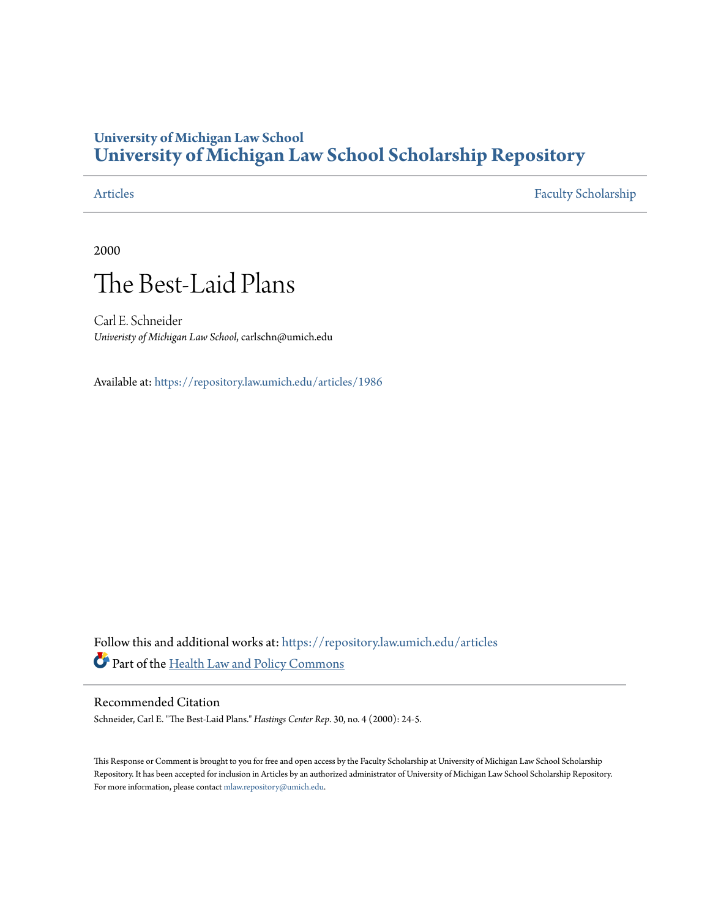### **University of Michigan Law School [University of Michigan Law School Scholarship Repository](https://repository.law.umich.edu?utm_source=repository.law.umich.edu%2Farticles%2F1986&utm_medium=PDF&utm_campaign=PDFCoverPages)**

[Articles](https://repository.law.umich.edu/articles?utm_source=repository.law.umich.edu%2Farticles%2F1986&utm_medium=PDF&utm_campaign=PDFCoverPages) [Faculty Scholarship](https://repository.law.umich.edu/faculty_scholarship?utm_source=repository.law.umich.edu%2Farticles%2F1986&utm_medium=PDF&utm_campaign=PDFCoverPages)

2000

## The Best-Laid Plans

Carl E. Schneider *Univeristy of Michigan Law School*, carlschn@umich.edu

Available at: <https://repository.law.umich.edu/articles/1986>

Follow this and additional works at: [https://repository.law.umich.edu/articles](https://repository.law.umich.edu/articles?utm_source=repository.law.umich.edu%2Farticles%2F1986&utm_medium=PDF&utm_campaign=PDFCoverPages) Part of the [Health Law and Policy Commons](http://network.bepress.com/hgg/discipline/901?utm_source=repository.law.umich.edu%2Farticles%2F1986&utm_medium=PDF&utm_campaign=PDFCoverPages)

#### Recommended Citation

Schneider, Carl E. "The Best-Laid Plans." *Hastings Center Rep*. 30, no. 4 (2000): 24-5.

This Response or Comment is brought to you for free and open access by the Faculty Scholarship at University of Michigan Law School Scholarship Repository. It has been accepted for inclusion in Articles by an authorized administrator of University of Michigan Law School Scholarship Repository. For more information, please contact [mlaw.repository@umich.edu](mailto:mlaw.repository@umich.edu).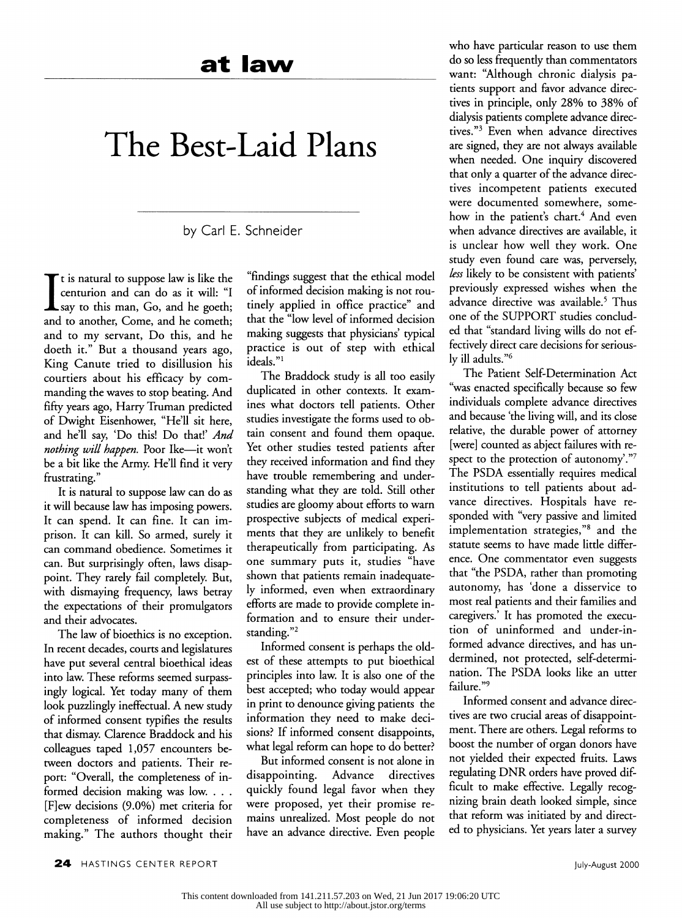# **The Best-Laid Plans**

by Carl E. Schneider

It is natural to suppose law is like the<br>centurion and can do as it will: "I say to this man, Go, and he goeth; and to another, Come, and he cometh; and to my servant, Do this, and he doeth it." But a thousand years ago, King Canute tried to disillusion his courtiers about his efficacy by commanding the waves to stop beating. And fifty years ago, Harry Truman predicted of Dwight Eisenhower, "He'll sit here, and he'll say, 'Do this! Do that!' *And nothing will happen.* Poor Ike-it won't be a bit like the Army. He'll find it very frustrating."

It is natural to suppose law can do as it will because law has imposing powers. It can spend. It can fine. It can imprison. It can kill. So armed, surely it can command obedience. Sometimes it can. But surprisingly often, laws disappoint. They rarely fail completely. But, with dismaying frequency, laws betray the expectations of their promulgators and their advocates.

The law of bioethics is no exception. In recent decades, courts and legislatures have put several central bioethical ideas into law. These reforms seemed surpassingly logical. Yet today many of them look puzzlingly ineffectual. A new study of informed consent typifies the results that dismay. Clarence Braddock and his colleagues taped 1,057 encounters between doctors and patients. Their report: "Overall, the completeness of informed decision making was low. . . . [F]ew decisions (9.0%) met criteria for completeness of informed decision making." The authors thought their

"findings suggest that the ethical model of informed decision making is not routinely applied in office practice" and that the "low level of informed decision making suggests that physicians' typical practice is out of step with ethical  $i$ deals." $i$ 

The Braddock study is all too easily duplicated in other contexts. It examines what doctors tell patients. Other studies investigate the forms used to obtain consent and found them opaque. Yet other studies tested patients after they received information and find they have trouble remembering and understanding what they are told. Still other studies are gloomy about efforts to warn prospective subjects of medical experiments that they are unlikely to benefit therapeutically from participating. As one summary puts it, studies "have shown that patients remain inadequately informed, even when extraordinary efforts are made to provide complete information and to ensure their understanding."<sup>2</sup>

Informed consent is perhaps the oldest of these attempts to put bioethical principles into law. It is also one of the best accepted; who today would appear in print to denounce giving patients the information they need to make decisions? If informed consent disappoints, what legal reform can hope to do better?

But informed consent is not alone in disappointing. Advance directives quickly found legal favor when they were proposed, yet their promise remains unrealized. Most people do not have an advance directive. Even people who have particular reason to use them do so less frequently than commentators want: ''Although chronic dialysis patients support and favor advance directives in principle, only 28% to 38% of dialysis patients complete advance directives."3 Even when advance directives are signed, they are not always available when needed. One inquiry discovered that only a quarter of the advance directives incompetent patients executed were documented somewhere, somehow in the patient's chart.<sup>4</sup> And even when advance directives are available, it is unclear how well they work. One study even found care was, perversely, *less* likely to be consistent with patients' previously expressed wishes when the advance directive was available.<sup>5</sup> Thus one of the SUPPORT studies concluded that "standard living wills do not effectively direct care decisions for seriously ill adults. "6

The Patient Self-Determination Act "was enacted specifically because so few individuals complete advance directives and because 'the living will, and its dose relative, the durable power of attorney [were] counted as abject failures with respect to the protection of autonomy'."7 The PSDA essentially requires medical institutions to tell patients about advance directives. Hospitals have responded with "very passive and limited implementation strategies,"8 and the statute seems to have made little difference. One commentator even suggests that "the PSDA, rather than promoting autonomy, has 'done a disservice to most real patients and their families and caregivers.' It has promoted the execution of uninformed and under-informed advance directives, and has undermined, not protected, self-determination. The PSDA looks like an utter failure."9

Informed consent and advance directives are two crucial areas of disappointment. There are others. Legal reforms to boost the number of organ donors have not yielded their expected fruits. Laws regulating DNR orders have proved difficult to make effective. Legally recognizing brain death looked simple, since that reform was initiated by and directed to physicians. Yet years later a survey